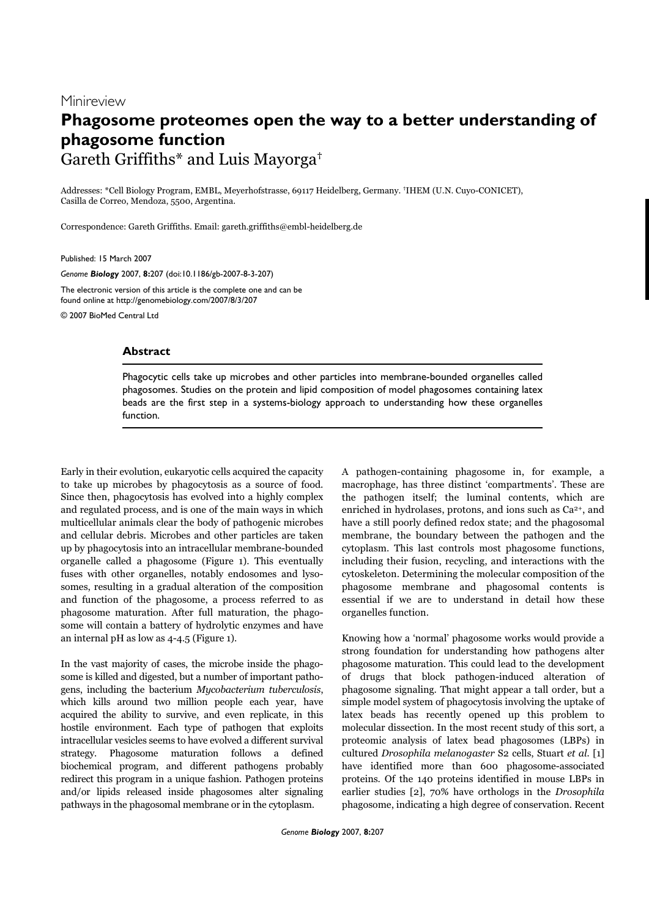# Minireview **Phagosome proteomes open the way to a better understanding of phagosome function** Gareth Griffiths\* and Luis Mayorga†

Addresses: \*Cell Biology Program, EMBL, Meyerhofstrasse, 69117 Heidelberg, Germany. †IHEM (U.N. Cuyo-CONICET), Casilla de Correo, Mendoza, 5500, Argentina.

Correspondence: Gareth Griffiths. Email: gareth.griffiths@embl-heidelberg.de

Published: 15 March 2007

*Genome Biology* 2007, **8:**207 (doi:10.1186/gb-2007-8-3-207)

The electronic version of this article is the complete one and can be found online at http://genomebiology.com/2007/8/3/207

© 2007 BioMed Central Ltd

# **Abstract**

Phagocytic cells take up microbes and other particles into membrane-bounded organelles called phagosomes. Studies on the protein and lipid composition of model phagosomes containing latex beads are the first step in a systems-biology approach to understanding how these organelles function.

Early in their evolution, eukaryotic cells acquired the capacity to take up microbes by phagocytosis as a source of food. Since then, phagocytosis has evolved into a highly complex and regulated process, and is one of the main ways in which multicellular animals clear the body of pathogenic microbes and cellular debris. Microbes and other particles are taken up by phagocytosis into an intracellular membrane-bounded organelle called a phagosome (Figure 1). This eventually fuses with other organelles, notably endosomes and lysosomes, resulting in a gradual alteration of the composition and function of the phagosome, a process referred to as phagosome maturation. After full maturation, the phagosome will contain a battery of hydrolytic enzymes and have an internal pH as low as 4-4.5 (Figure 1).

In the vast majority of cases, the microbe inside the phagosome is killed and digested, but a number of important pathogens, including the bacterium Mycobacterium tuberculosis, which kills around two million people each year, have acquired the ability to survive, and even replicate, in this hostile environment. Each type of pathogen that exploits intracellular vesicles seems to have evolved a different survival strategy. Phagosome maturation follows a defined biochemical program, and different pathogens probably redirect this program in a unique fashion. Pathogen proteins and/or lipids released inside phagosomes alter signaling pathways in the phagosomal membrane or in the cytoplasm.

A pathogen-containing phagosome in, for example, a macrophage, has three distinct 'compartments'. These are the pathogen itself; the luminal contents, which are enriched in hydrolases, protons, and ions such as Ca<sup>2+</sup>, and have a still poorly defined redox state; and the phagosomal membrane, the boundary between the pathogen and the cytoplasm. This last controls most phagosome functions, including their fusion, recycling, and interactions with the cytoskeleton. Determining the molecular composition of the phagosome membrane and phagosomal contents is essential if we are to understand in detail how these organelles function.

Knowing how a 'normal' phagosome works would provide a strong foundation for understanding how pathogens alter phagosome maturation. This could lead to the development of drugs that block pathogen-induced alteration of phagosome signaling. That might appear a tall order, but a simple model system of phagocytosis involving the uptake of latex beads has recently opened up this problem to molecular dissection. In the most recent study of this sort, a proteomic analysis of latex bead phagosomes (LBPs) in cultured Drosophila melanogaster S2 cells, Stuart et al. [1] have identified more than 600 phagosome-associated proteins. Of the 140 proteins identified in mouse LBPs in earlier studies [2], 70% have orthologs in the Drosophila phagosome, indicating a high degree of conservation. Recent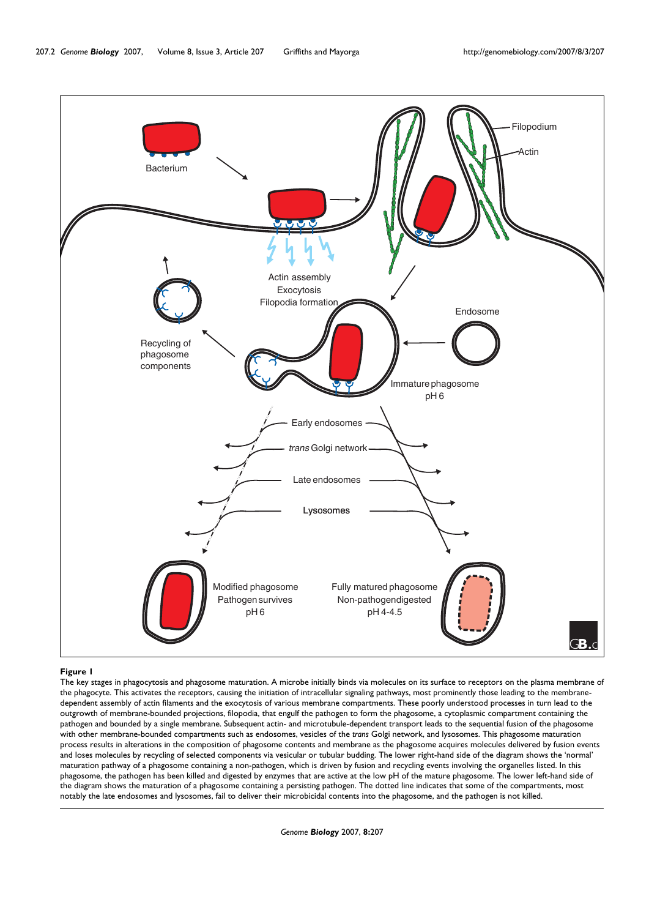

#### **Figure 1**

The key stages in phagocytosis and phagosome maturation. A microbe initially binds via molecules on its surface to receptors on the plasma membrane of the phagocyte. This activates the receptors, causing the initiation of intracellular signaling pathways, most prominently those leading to the membranedependent assembly of actin filaments and the exocytosis of various membrane compartments. These poorly understood processes in turn lead to the outgrowth of membrane-bounded projections, filopodia, that engulf the pathogen to form the phagosome, a cytoplasmic compartment containing the pathogen and bounded by a single membrane. Subsequent actin- and microtubule-dependent transport leads to the sequential fusion of the phagosome with other membrane-bounded compartments such as endosomes, vesicles of the *trans* Golgi network, and lysosomes. This phagosome maturation process results in alterations in the composition of phagosome contents and membrane as the phagosome acquires molecules delivered by fusion events and loses molecules by recycling of selected components via vesicular or tubular budding. The lower right-hand side of the diagram shows the 'normal' maturation pathway of a phagosome containing a non-pathogen, which is driven by fusion and recycling events involving the organelles listed. In this phagosome, the pathogen has been killed and digested by enzymes that are active at the low pH of the mature phagosome. The lower left-hand side of the diagram shows the maturation of a phagosome containing a persisting pathogen. The dotted line indicates that some of the compartments, most notably the late endosomes and lysosomes, fail to deliver their microbicidal contents into the phagosome, and the pathogen is not killed.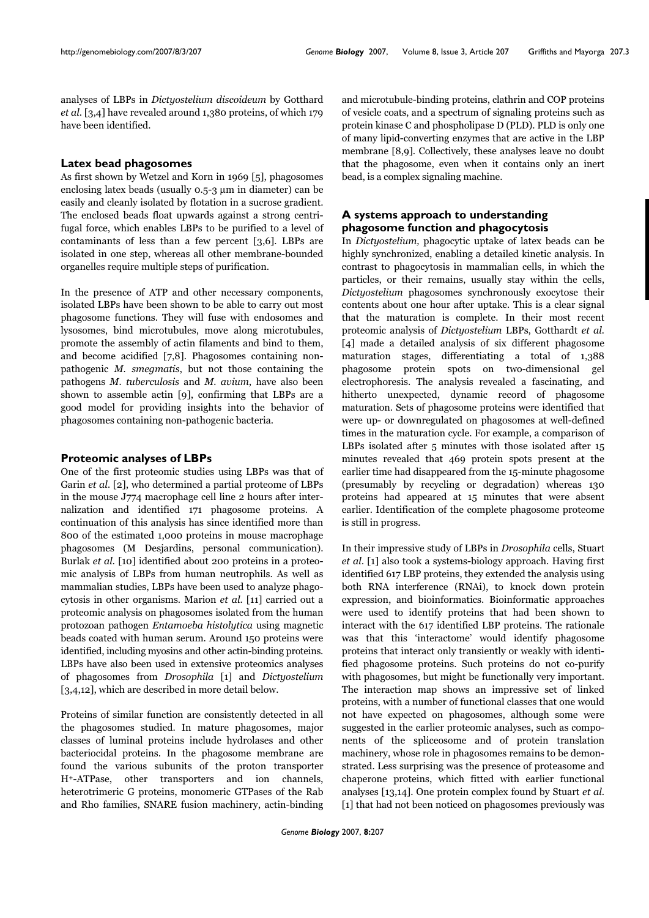analyses of LBPs in Dictyostelium discoideum by Gotthard et al. [3,4] have revealed around 1,380 proteins, of which 179 have been identified.

## **Latex bead phagosomes**

As first shown by Wetzel and Korn in 1969 [5], phagosomes enclosing latex beads (usually 0.5-3 µm in diameter) can be easily and cleanly isolated by flotation in a sucrose gradient. The enclosed beads float upwards against a strong centrifugal force, which enables LBPs to be purified to a level of contaminants of less than a few percent [3,6]. LBPs are isolated in one step, whereas all other membrane-bounded organelles require multiple steps of purification.

In the presence of ATP and other necessary components, isolated LBPs have been shown to be able to carry out most phagosome functions. They will fuse with endosomes and lysosomes, bind microtubules, move along microtubules, promote the assembly of actin filaments and bind to them, and become acidified [7,8]. Phagosomes containing nonpathogenic M. smegmatis, but not those containing the pathogens M. tuberculosis and M. avium, have also been shown to assemble actin [9], confirming that LBPs are a good model for providing insights into the behavior of phagosomes containing non-pathogenic bacteria.

#### **Proteomic analyses of LBPs**

One of the first proteomic studies using LBPs was that of Garin et al. [2], who determined a partial proteome of LBPs in the mouse J774 macrophage cell line 2 hours after internalization and identified 171 phagosome proteins. A continuation of this analysis has since identified more than 800 of the estimated 1,000 proteins in mouse macrophage phagosomes (M Desjardins, personal communication). Burlak et al. [10] identified about 200 proteins in a proteomic analysis of LBPs from human neutrophils. As well as mammalian studies, LBPs have been used to analyze phagocytosis in other organisms. Marion et al. [11] carried out a proteomic analysis on phagosomes isolated from the human protozoan pathogen Entamoeba histolytica using magnetic beads coated with human serum. Around 150 proteins were identified, including myosins and other actin-binding proteins. LBPs have also been used in extensive proteomics analyses of phagosomes from Drosophila [1] and Dictyostelium [3,4,12], which are described in more detail below.

Proteins of similar function are consistently detected in all the phagosomes studied. In mature phagosomes, major classes of luminal proteins include hydrolases and other bacteriocidal proteins. In the phagosome membrane are found the various subunits of the proton transporter H+-ATPase, other transporters and ion channels, heterotrimeric G proteins, monomeric GTPases of the Rab and Rho families, SNARE fusion machinery, actin-binding and microtubule-binding proteins, clathrin and COP proteins of vesicle coats, and a spectrum of signaling proteins such as protein kinase C and phospholipase D (PLD). PLD is only one of many lipid-converting enzymes that are active in the LBP membrane [8,9]. Collectively, these analyses leave no doubt that the phagosome, even when it contains only an inert bead, is a complex signaling machine.

## **A systems approach to understanding phagosome function and phagocytosis**

In Dictyostelium, phagocytic uptake of latex beads can be highly synchronized, enabling a detailed kinetic analysis. In contrast to phagocytosis in mammalian cells, in which the particles, or their remains, usually stay within the cells, Dictyostelium phagosomes synchronously exocytose their contents about one hour after uptake. This is a clear signal that the maturation is complete. In their most recent proteomic analysis of Dictyostelium LBPs, Gotthardt et al. [4] made a detailed analysis of six different phagosome maturation stages, differentiating a total of 1,388 phagosome protein spots on two-dimensional gel electrophoresis. The analysis revealed a fascinating, and hitherto unexpected, dynamic record of phagosome maturation. Sets of phagosome proteins were identified that were up- or downregulated on phagosomes at well-defined times in the maturation cycle. For example, a comparison of LBPs isolated after 5 minutes with those isolated after 15 minutes revealed that 469 protein spots present at the earlier time had disappeared from the 15-minute phagosome (presumably by recycling or degradation) whereas 130 proteins had appeared at 15 minutes that were absent earlier. Identification of the complete phagosome proteome is still in progress.

In their impressive study of LBPs in Drosophila cells, Stuart et al. [1] also took a systems-biology approach. Having first identified 617 LBP proteins, they extended the analysis using both RNA interference (RNAi), to knock down protein expression, and bioinformatics. Bioinformatic approaches were used to identify proteins that had been shown to interact with the 617 identified LBP proteins. The rationale was that this 'interactome' would identify phagosome proteins that interact only transiently or weakly with identified phagosome proteins. Such proteins do not co-purify with phagosomes, but might be functionally very important. The interaction map shows an impressive set of linked proteins, with a number of functional classes that one would not have expected on phagosomes, although some were suggested in the earlier proteomic analyses, such as components of the spliceosome and of protein translation machinery, whose role in phagosomes remains to be demonstrated. Less surprising was the presence of proteasome and chaperone proteins, which fitted with earlier functional analyses [13,14]. One protein complex found by Stuart et al. [1] that had not been noticed on phagosomes previously was